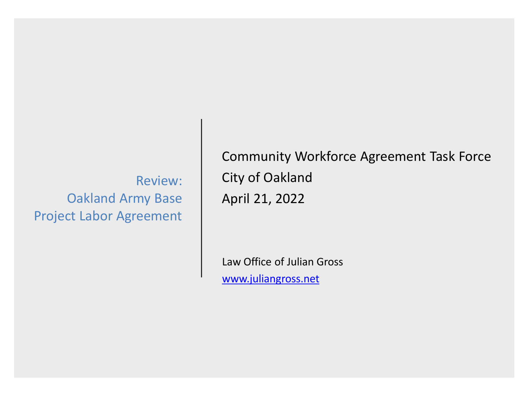Review: Oakland Army Base Project Labor Agreement

Community Workforce Agreement Task Force City of Oakland April 21, 2022

Law Office of Julian Gross [www.juliangross.net](http://www.juliangross.net/)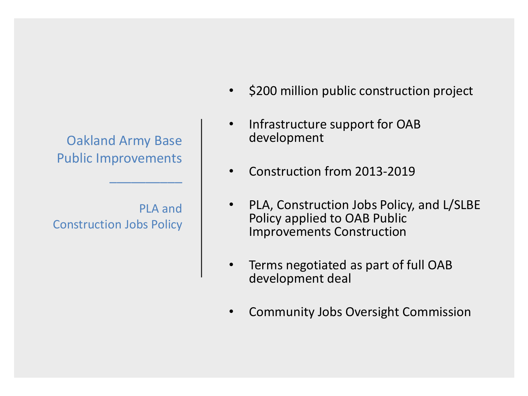Oakland Army Base Public Improvements

 $\overline{\phantom{a}}$ 

PLA and Construction Jobs Policy

- \$200 million public construction project
- Infrastructure support for OAB development
- Construction from 2013-2019
- PLA, Construction Jobs Policy, and L/SLBE Policy applied to OAB Public Improvements Construction
- Terms negotiated as part of full OAB development deal
- Community Jobs Oversight Commission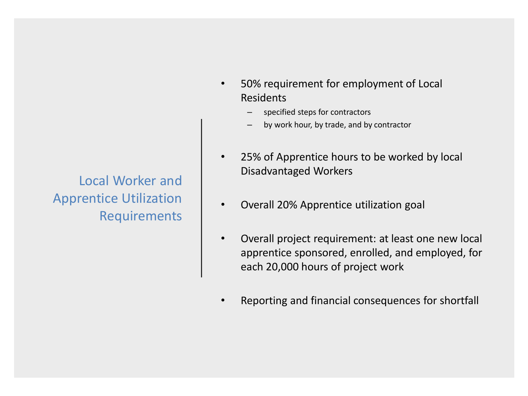Local Worker and Apprentice Utilization Requirements

- 50% requirement for employment of Local Residents
	- specified steps for contractors
	- by work hour, by trade, and by contractor
- 25% of Apprentice hours to be worked by local Disadvantaged Workers
- Overall 20% Apprentice utilization goal
- Overall project requirement: at least one new local apprentice sponsored, enrolled, and employed, for each 20,000 hours of project work
- Reporting and financial consequences for shortfall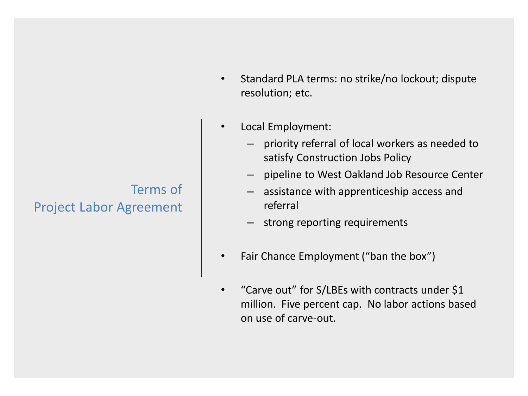# Terms of Project Labor Agreement

- Standard PLA terms: no strike/no lockout; dispute resolution; etc.
- Local Employment:
	- priority referral of local workers as needed to satisfy Construction Jobs Policy
	- pipeline to West Oakland Job Resource Center
	- assistance with apprenticeship access and referral
	- strong reporting requirements
- Fair Chance Employment ("ban the box")
- "Carve out" for S/LBEs with contracts under \$1 million. Five percent cap. No labor actions based on use of carve-out.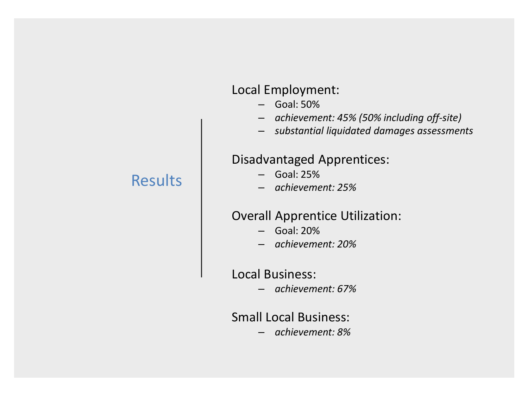### Local Employment:

- Goal: 50%
- *achievement: 45% (50% including off-site)*
- *substantial liquidated damages assessments*

## Disadvantaged Apprentices:

- Goal: 25%
- *achievement: 25%*

#### Overall Apprentice Utilization:

- Goal: 20%
- *achievement: 20%*

Local Business:

– *achievement: 67%*

#### Small Local Business:

– *achievement: 8%*

# Results